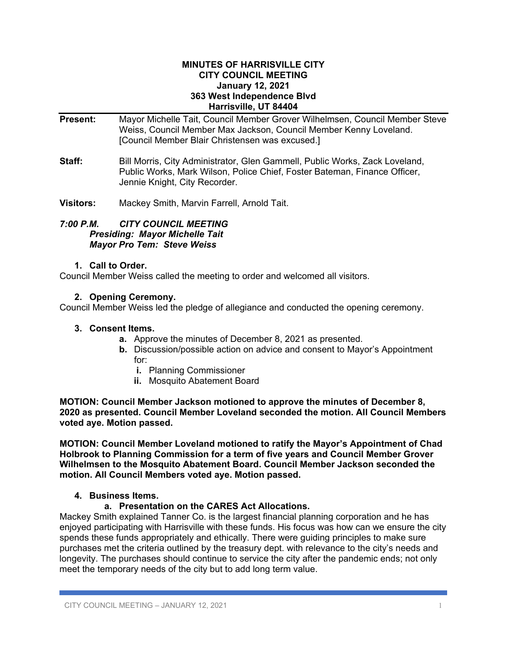#### **MINUTES OF HARRISVILLE CITY CITY COUNCIL MEETING January 12, 2021 363 West Independence Blvd Harrisville, UT 84404**

- **Present:** Mayor Michelle Tait, Council Member Grover Wilhelmsen, Council Member Steve Weiss, Council Member Max Jackson, Council Member Kenny Loveland. [Council Member Blair Christensen was excused.]
- **Staff:** Bill Morris, City Administrator, Glen Gammell, Public Works, Zack Loveland, Public Works, Mark Wilson, Police Chief, Foster Bateman, Finance Officer, Jennie Knight, City Recorder.
- **Visitors:** Mackey Smith, Marvin Farrell, Arnold Tait.

### *7:00 P.M. CITY COUNCIL MEETING Presiding: Mayor Michelle Tait Mayor Pro Tem: Steve Weiss*

### **1. Call to Order.**

Council Member Weiss called the meeting to order and welcomed all visitors.

## **2. Opening Ceremony.**

Council Member Weiss led the pledge of allegiance and conducted the opening ceremony.

### **3. Consent Items.**

- **a.** Approve the minutes of December 8, 2021 as presented.
- **b.** Discussion/possible action on advice and consent to Mayor's Appointment for:
	- **i.** Planning Commissioner
	- **ii.** Mosquito Abatement Board

**MOTION: Council Member Jackson motioned to approve the minutes of December 8, 2020 as presented. Council Member Loveland seconded the motion. All Council Members voted aye. Motion passed.**

**MOTION: Council Member Loveland motioned to ratify the Mayor's Appointment of Chad Holbrook to Planning Commission for a term of five years and Council Member Grover Wilhelmsen to the Mosquito Abatement Board. Council Member Jackson seconded the motion. All Council Members voted aye. Motion passed.**

## **4. Business Items.**

## **a. Presentation on the CARES Act Allocations.**

Mackey Smith explained Tanner Co. is the largest financial planning corporation and he has enjoyed participating with Harrisville with these funds. His focus was how can we ensure the city spends these funds appropriately and ethically. There were guiding principles to make sure purchases met the criteria outlined by the treasury dept. with relevance to the city's needs and longevity. The purchases should continue to service the city after the pandemic ends; not only meet the temporary needs of the city but to add long term value.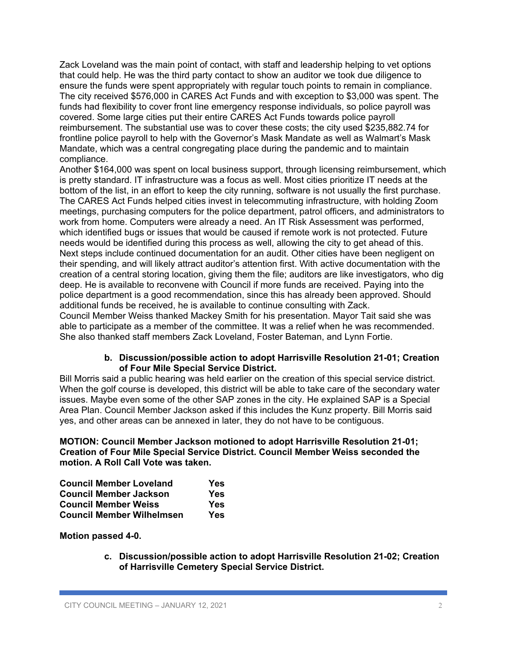Zack Loveland was the main point of contact, with staff and leadership helping to vet options that could help. He was the third party contact to show an auditor we took due diligence to ensure the funds were spent appropriately with regular touch points to remain in compliance. The city received \$576,000 in CARES Act Funds and with exception to \$3,000 was spent. The funds had flexibility to cover front line emergency response individuals, so police payroll was covered. Some large cities put their entire CARES Act Funds towards police payroll reimbursement. The substantial use was to cover these costs; the city used \$235,882.74 for frontline police payroll to help with the Governor's Mask Mandate as well as Walmart's Mask Mandate, which was a central congregating place during the pandemic and to maintain compliance.

Another \$164,000 was spent on local business support, through licensing reimbursement, which is pretty standard. IT infrastructure was a focus as well. Most cities prioritize IT needs at the bottom of the list, in an effort to keep the city running, software is not usually the first purchase. The CARES Act Funds helped cities invest in telecommuting infrastructure, with holding Zoom meetings, purchasing computers for the police department, patrol officers, and administrators to work from home. Computers were already a need. An IT Risk Assessment was performed, which identified bugs or issues that would be caused if remote work is not protected. Future needs would be identified during this process as well, allowing the city to get ahead of this. Next steps include continued documentation for an audit. Other cities have been negligent on their spending, and will likely attract auditor's attention first. With active documentation with the creation of a central storing location, giving them the file; auditors are like investigators, who dig deep. He is available to reconvene with Council if more funds are received. Paying into the police department is a good recommendation, since this has already been approved. Should additional funds be received, he is available to continue consulting with Zack.

Council Member Weiss thanked Mackey Smith for his presentation. Mayor Tait said she was able to participate as a member of the committee. It was a relief when he was recommended. She also thanked staff members Zack Loveland, Foster Bateman, and Lynn Fortie.

### **b. Discussion/possible action to adopt Harrisville Resolution 21-01; Creation of Four Mile Special Service District.**

Bill Morris said a public hearing was held earlier on the creation of this special service district. When the golf course is developed, this district will be able to take care of the secondary water issues. Maybe even some of the other SAP zones in the city. He explained SAP is a Special Area Plan. Council Member Jackson asked if this includes the Kunz property. Bill Morris said yes, and other areas can be annexed in later, they do not have to be contiguous.

**MOTION: Council Member Jackson motioned to adopt Harrisville Resolution 21-01; Creation of Four Mile Special Service District. Council Member Weiss seconded the motion. A Roll Call Vote was taken.**

| <b>Council Member Loveland</b>   | Yes |
|----------------------------------|-----|
| <b>Council Member Jackson</b>    | Yes |
| <b>Council Member Weiss</b>      | Yes |
| <b>Council Member Wilhelmsen</b> | Yes |

**Motion passed 4-0.**

**c. Discussion/possible action to adopt Harrisville Resolution 21-02; Creation of Harrisville Cemetery Special Service District.**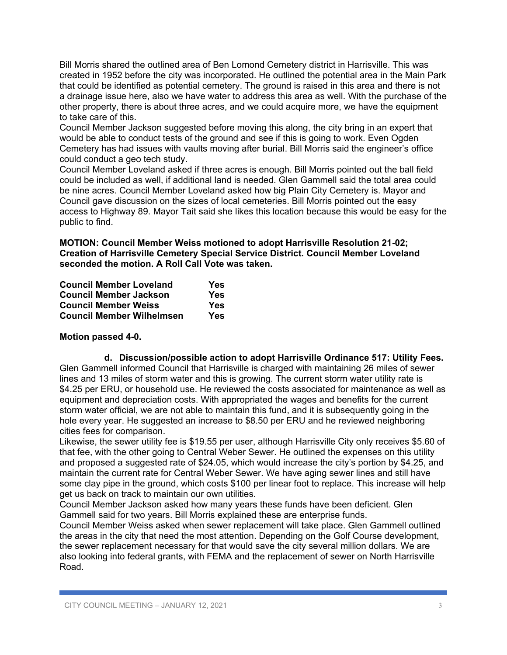Bill Morris shared the outlined area of Ben Lomond Cemetery district in Harrisville. This was created in 1952 before the city was incorporated. He outlined the potential area in the Main Park that could be identified as potential cemetery. The ground is raised in this area and there is not a drainage issue here, also we have water to address this area as well. With the purchase of the other property, there is about three acres, and we could acquire more, we have the equipment to take care of this.

Council Member Jackson suggested before moving this along, the city bring in an expert that would be able to conduct tests of the ground and see if this is going to work. Even Ogden Cemetery has had issues with vaults moving after burial. Bill Morris said the engineer's office could conduct a geo tech study.

Council Member Loveland asked if three acres is enough. Bill Morris pointed out the ball field could be included as well, if additional land is needed. Glen Gammell said the total area could be nine acres. Council Member Loveland asked how big Plain City Cemetery is. Mayor and Council gave discussion on the sizes of local cemeteries. Bill Morris pointed out the easy access to Highway 89. Mayor Tait said she likes this location because this would be easy for the public to find.

**MOTION: Council Member Weiss motioned to adopt Harrisville Resolution 21-02; Creation of Harrisville Cemetery Special Service District. Council Member Loveland seconded the motion. A Roll Call Vote was taken.**

| <b>Council Member Loveland</b>   | Yes |
|----------------------------------|-----|
| <b>Council Member Jackson</b>    | Yes |
| <b>Council Member Weiss</b>      | Yes |
| <b>Council Member Wilhelmsen</b> | Yes |

# **Motion passed 4-0.**

**d. Discussion/possible action to adopt Harrisville Ordinance 517: Utility Fees.** Glen Gammell informed Council that Harrisville is charged with maintaining 26 miles of sewer lines and 13 miles of storm water and this is growing. The current storm water utility rate is \$4.25 per ERU, or household use. He reviewed the costs associated for maintenance as well as equipment and depreciation costs. With appropriated the wages and benefits for the current storm water official, we are not able to maintain this fund, and it is subsequently going in the hole every year. He suggested an increase to \$8.50 per ERU and he reviewed neighboring cities fees for comparison.

Likewise, the sewer utility fee is \$19.55 per user, although Harrisville City only receives \$5.60 of that fee, with the other going to Central Weber Sewer. He outlined the expenses on this utility and proposed a suggested rate of \$24.05, which would increase the city's portion by \$4.25, and maintain the current rate for Central Weber Sewer. We have aging sewer lines and still have some clay pipe in the ground, which costs \$100 per linear foot to replace. This increase will help get us back on track to maintain our own utilities.

Council Member Jackson asked how many years these funds have been deficient. Glen Gammell said for two years. Bill Morris explained these are enterprise funds.

Council Member Weiss asked when sewer replacement will take place. Glen Gammell outlined the areas in the city that need the most attention. Depending on the Golf Course development, the sewer replacement necessary for that would save the city several million dollars. We are also looking into federal grants, with FEMA and the replacement of sewer on North Harrisville Road.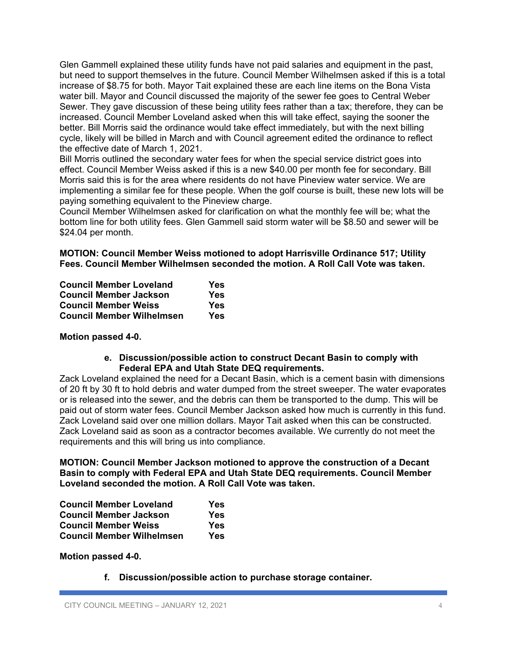Glen Gammell explained these utility funds have not paid salaries and equipment in the past, but need to support themselves in the future. Council Member Wilhelmsen asked if this is a total increase of \$8.75 for both. Mayor Tait explained these are each line items on the Bona Vista water bill. Mayor and Council discussed the majority of the sewer fee goes to Central Weber Sewer. They gave discussion of these being utility fees rather than a tax; therefore, they can be increased. Council Member Loveland asked when this will take effect, saying the sooner the better. Bill Morris said the ordinance would take effect immediately, but with the next billing cycle, likely will be billed in March and with Council agreement edited the ordinance to reflect the effective date of March 1, 2021.

Bill Morris outlined the secondary water fees for when the special service district goes into effect. Council Member Weiss asked if this is a new \$40.00 per month fee for secondary. Bill Morris said this is for the area where residents do not have Pineview water service. We are implementing a similar fee for these people. When the golf course is built, these new lots will be paying something equivalent to the Pineview charge.

Council Member Wilhelmsen asked for clarification on what the monthly fee will be; what the bottom line for both utility fees. Glen Gammell said storm water will be \$8.50 and sewer will be \$24.04 per month.

**MOTION: Council Member Weiss motioned to adopt Harrisville Ordinance 517; Utility Fees. Council Member Wilhelmsen seconded the motion. A Roll Call Vote was taken.**

| <b>Council Member Loveland</b>   | Yes |
|----------------------------------|-----|
| <b>Council Member Jackson</b>    | Yes |
| <b>Council Member Weiss</b>      | Yes |
| <b>Council Member Wilhelmsen</b> | Yes |

## **Motion passed 4-0.**

**e. Discussion/possible action to construct Decant Basin to comply with Federal EPA and Utah State DEQ requirements.**

Zack Loveland explained the need for a Decant Basin, which is a cement basin with dimensions of 20 ft by 30 ft to hold debris and water dumped from the street sweeper. The water evaporates or is released into the sewer, and the debris can them be transported to the dump. This will be paid out of storm water fees. Council Member Jackson asked how much is currently in this fund. Zack Loveland said over one million dollars. Mayor Tait asked when this can be constructed. Zack Loveland said as soon as a contractor becomes available. We currently do not meet the requirements and this will bring us into compliance.

**MOTION: Council Member Jackson motioned to approve the construction of a Decant Basin to comply with Federal EPA and Utah State DEQ requirements. Council Member Loveland seconded the motion. A Roll Call Vote was taken.**

| <b>Council Member Loveland</b>   | Yes |
|----------------------------------|-----|
| <b>Council Member Jackson</b>    | Yes |
| <b>Council Member Weiss</b>      | Yes |
| <b>Council Member Wilhelmsen</b> | Yes |

#### **Motion passed 4-0.**

**f. Discussion/possible action to purchase storage container.**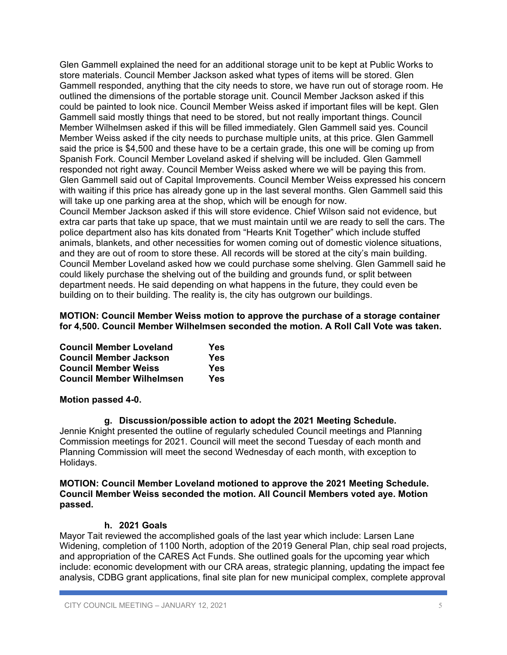Glen Gammell explained the need for an additional storage unit to be kept at Public Works to store materials. Council Member Jackson asked what types of items will be stored. Glen Gammell responded, anything that the city needs to store, we have run out of storage room. He outlined the dimensions of the portable storage unit. Council Member Jackson asked if this could be painted to look nice. Council Member Weiss asked if important files will be kept. Glen Gammell said mostly things that need to be stored, but not really important things. Council Member Wilhelmsen asked if this will be filled immediately. Glen Gammell said yes. Council Member Weiss asked if the city needs to purchase multiple units, at this price. Glen Gammell said the price is \$4,500 and these have to be a certain grade, this one will be coming up from Spanish Fork. Council Member Loveland asked if shelving will be included. Glen Gammell responded not right away. Council Member Weiss asked where we will be paying this from. Glen Gammell said out of Capital Improvements. Council Member Weiss expressed his concern with waiting if this price has already gone up in the last several months. Glen Gammell said this will take up one parking area at the shop, which will be enough for now.

Council Member Jackson asked if this will store evidence. Chief Wilson said not evidence, but extra car parts that take up space, that we must maintain until we are ready to sell the cars. The police department also has kits donated from "Hearts Knit Together" which include stuffed animals, blankets, and other necessities for women coming out of domestic violence situations, and they are out of room to store these. All records will be stored at the city's main building. Council Member Loveland asked how we could purchase some shelving. Glen Gammell said he could likely purchase the shelving out of the building and grounds fund, or split between department needs. He said depending on what happens in the future, they could even be building on to their building. The reality is, the city has outgrown our buildings.

**MOTION: Council Member Weiss motion to approve the purchase of a storage container for 4,500. Council Member Wilhelmsen seconded the motion. A Roll Call Vote was taken.**

| <b>Council Member Loveland</b>   | Yes |
|----------------------------------|-----|
| <b>Council Member Jackson</b>    | Yes |
| <b>Council Member Weiss</b>      | Yes |
| <b>Council Member Wilhelmsen</b> | Yes |

## **Motion passed 4-0.**

#### **g. Discussion/possible action to adopt the 2021 Meeting Schedule.**

Jennie Knight presented the outline of regularly scheduled Council meetings and Planning Commission meetings for 2021. Council will meet the second Tuesday of each month and Planning Commission will meet the second Wednesday of each month, with exception to Holidays.

### **MOTION: Council Member Loveland motioned to approve the 2021 Meeting Schedule. Council Member Weiss seconded the motion. All Council Members voted aye. Motion passed.**

#### **h. 2021 Goals**

Mayor Tait reviewed the accomplished goals of the last year which include: Larsen Lane Widening, completion of 1100 North, adoption of the 2019 General Plan, chip seal road projects, and appropriation of the CARES Act Funds. She outlined goals for the upcoming year which include: economic development with our CRA areas, strategic planning, updating the impact fee analysis, CDBG grant applications, final site plan for new municipal complex, complete approval